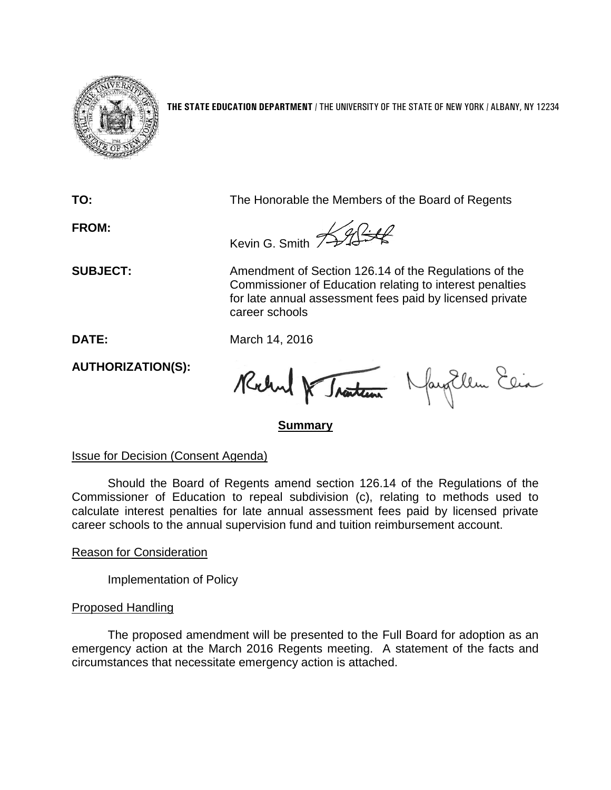

**THE STATE EDUCATION DEPARTMENT** / THE UNIVERSITY OF THE STATE OF NEW YORK / ALBANY, NY 12234

**TO:** The Honorable the Members of the Board of Regents

**FROM:**

Kevin G. Smith  $\frac{1}{2}$ 

**SUBJECT:** Amendment of Section 126.14 of the Regulations of the Commissioner of Education relating to interest penalties for late annual assessment fees paid by licensed private career schools

**DATE:** March 14, 2016

**AUTHORIZATION(S):**

Robert & Traiteur Nayollem Elia

**Summary**

Issue for Decision (Consent Agenda)

Should the Board of Regents amend section 126.14 of the Regulations of the Commissioner of Education to repeal subdivision (c), relating to methods used to calculate interest penalties for late annual assessment fees paid by licensed private career schools to the annual supervision fund and tuition reimbursement account.

Reason for Consideration

Implementation of Policy

### Proposed Handling

The proposed amendment will be presented to the Full Board for adoption as an emergency action at the March 2016 Regents meeting. A statement of the facts and circumstances that necessitate emergency action is attached.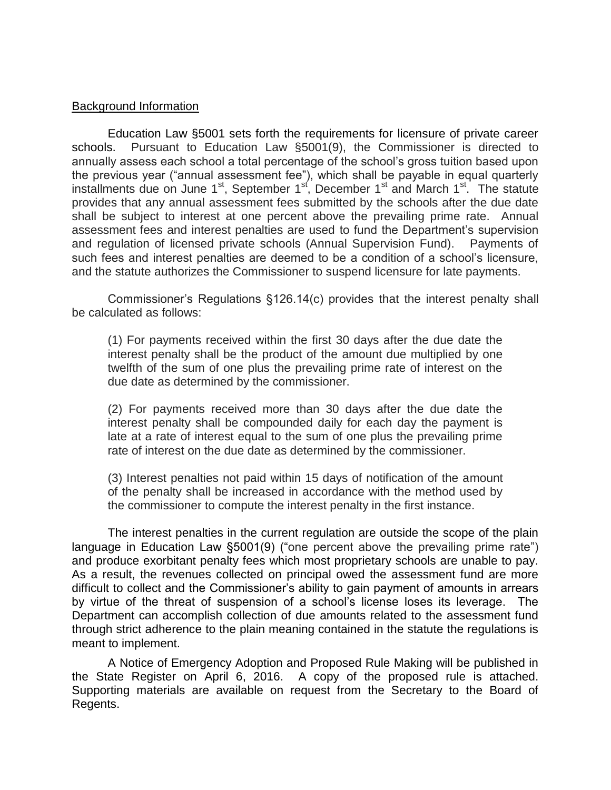#### Background Information

Education Law §5001 sets forth the requirements for licensure of private career schools. Pursuant to Education Law §5001(9), the Commissioner is directed to annually assess each school a total percentage of the school's gross tuition based upon the previous year ("annual assessment fee"), which shall be payable in equal quarterly installments due on June 1<sup>st</sup>, September 1<sup>st</sup>, December 1<sup>st</sup> and March 1<sup>st</sup>. The statute provides that any annual assessment fees submitted by the schools after the due date shall be subject to interest at one percent above the prevailing prime rate. Annual assessment fees and interest penalties are used to fund the Department's supervision and regulation of licensed private schools (Annual Supervision Fund). Payments of such fees and interest penalties are deemed to be a condition of a school's licensure, and the statute authorizes the Commissioner to suspend licensure for late payments.

Commissioner's Regulations §126.14(c) provides that the interest penalty shall be calculated as follows:

(1) For payments received within the first 30 days after the due date the interest penalty shall be the product of the amount due multiplied by one twelfth of the sum of one plus the prevailing prime rate of interest on the due date as determined by the commissioner.

(2) For payments received more than 30 days after the due date the interest penalty shall be compounded daily for each day the payment is late at a rate of interest equal to the sum of one plus the prevailing prime rate of interest on the due date as determined by the commissioner.

(3) Interest penalties not paid within 15 days of notification of the amount of the penalty shall be increased in accordance with the method used by the commissioner to compute the interest penalty in the first instance.

The interest penalties in the current regulation are outside the scope of the plain language in Education Law §5001(9) ("one percent above the prevailing prime rate") and produce exorbitant penalty fees which most proprietary schools are unable to pay. As a result, the revenues collected on principal owed the assessment fund are more difficult to collect and the Commissioner's ability to gain payment of amounts in arrears by virtue of the threat of suspension of a school's license loses its leverage. The Department can accomplish collection of due amounts related to the assessment fund through strict adherence to the plain meaning contained in the statute the regulations is meant to implement.

A Notice of Emergency Adoption and Proposed Rule Making will be published in the State Register on April 6, 2016. A copy of the proposed rule is attached. Supporting materials are available on request from the Secretary to the Board of Regents.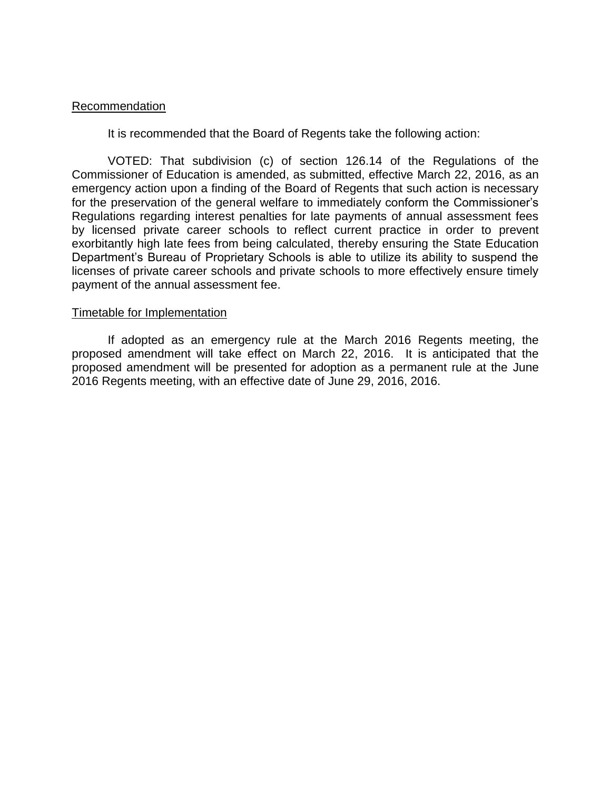#### Recommendation

It is recommended that the Board of Regents take the following action:

VOTED: That subdivision (c) of section 126.14 of the Regulations of the Commissioner of Education is amended, as submitted, effective March 22, 2016, as an emergency action upon a finding of the Board of Regents that such action is necessary for the preservation of the general welfare to immediately conform the Commissioner's Regulations regarding interest penalties for late payments of annual assessment fees by licensed private career schools to reflect current practice in order to prevent exorbitantly high late fees from being calculated, thereby ensuring the State Education Department's Bureau of Proprietary Schools is able to utilize its ability to suspend the licenses of private career schools and private schools to more effectively ensure timely payment of the annual assessment fee.

#### Timetable for Implementation

If adopted as an emergency rule at the March 2016 Regents meeting, the proposed amendment will take effect on March 22, 2016. It is anticipated that the proposed amendment will be presented for adoption as a permanent rule at the June 2016 Regents meeting, with an effective date of June 29, 2016, 2016.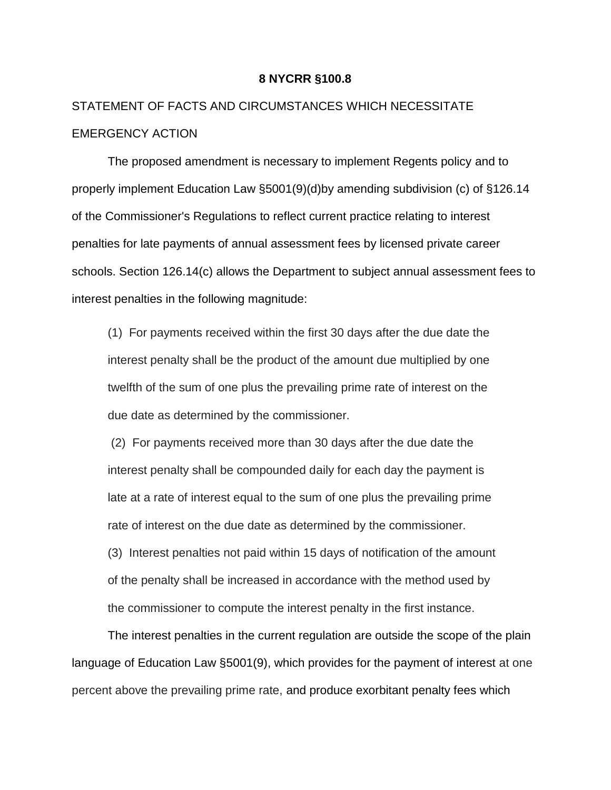#### **8 NYCRR §100.8**

## STATEMENT OF FACTS AND CIRCUMSTANCES WHICH NECESSITATE EMERGENCY ACTION

The proposed amendment is necessary to implement Regents policy and to properly implement Education Law §5001(9)(d)by amending subdivision (c) of §126.14 of the Commissioner's Regulations to reflect current practice relating to interest penalties for late payments of annual assessment fees by licensed private career schools. Section 126.14(c) allows the Department to subject annual assessment fees to interest penalties in the following magnitude:

(1) For payments received within the first 30 days after the due date the interest penalty shall be the product of the amount due multiplied by one twelfth of the sum of one plus the prevailing prime rate of interest on the due date as determined by the commissioner.

(2) For payments received more than 30 days after the due date the interest penalty shall be compounded daily for each day the payment is late at a rate of interest equal to the sum of one plus the prevailing prime rate of interest on the due date as determined by the commissioner.

(3) Interest penalties not paid within 15 days of notification of the amount of the penalty shall be increased in accordance with the method used by the commissioner to compute the interest penalty in the first instance.

The interest penalties in the current regulation are outside the scope of the plain language of Education Law §5001(9), which provides for the payment of interest at one percent above the prevailing prime rate, and produce exorbitant penalty fees which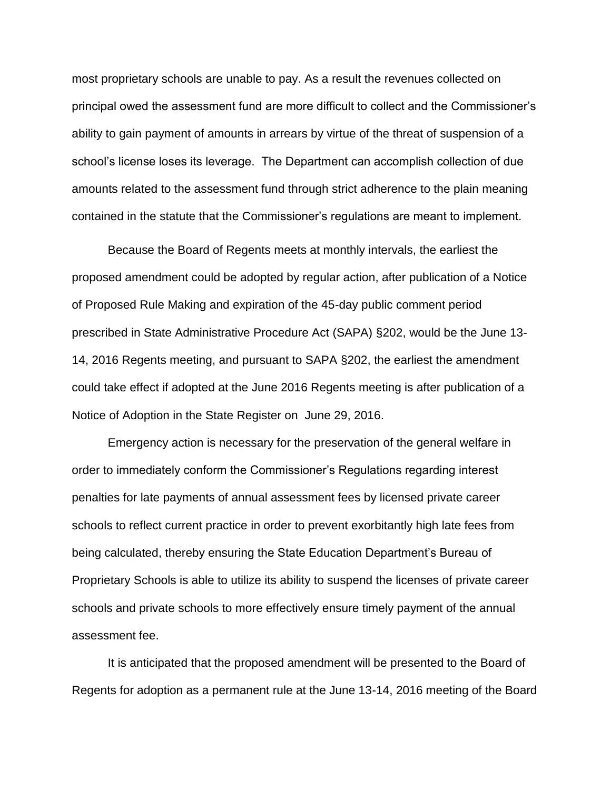most proprietary schools are unable to pay. As a result the revenues collected on principal owed the assessment fund are more difficult to collect and the Commissioner's ability to gain payment of amounts in arrears by virtue of the threat of suspension of a school's license loses its leverage. The Department can accomplish collection of due amounts related to the assessment fund through strict adherence to the plain meaning contained in the statute that the Commissioner's regulations are meant to implement.

Because the Board of Regents meets at monthly intervals, the earliest the proposed amendment could be adopted by regular action, after publication of a Notice of Proposed Rule Making and expiration of the 45-day public comment period prescribed in State Administrative Procedure Act (SAPA) §202, would be the June 13- 14, 2016 Regents meeting, and pursuant to SAPA §202, the earliest the amendment could take effect if adopted at the June 2016 Regents meeting is after publication of a Notice of Adoption in the State Register on June 29, 2016.

 Emergency action is necessary for the preservation of the general welfare in order to immediately conform the Commissioner's Regulations regarding interest penalties for late payments of annual assessment fees by licensed private career schools to reflect current practice in order to prevent exorbitantly high late fees from being calculated, thereby ensuring the State Education Department's Bureau of Proprietary Schools is able to utilize its ability to suspend the licenses of private career schools and private schools to more effectively ensure timely payment of the annual assessment fee.

It is anticipated that the proposed amendment will be presented to the Board of Regents for adoption as a permanent rule at the June 13-14, 2016 meeting of the Board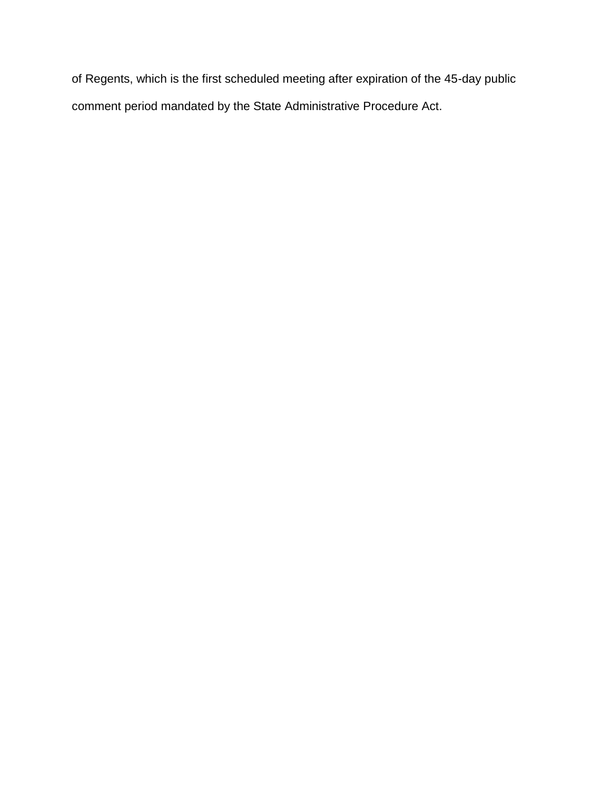of Regents, which is the first scheduled meeting after expiration of the 45-day public comment period mandated by the State Administrative Procedure Act.